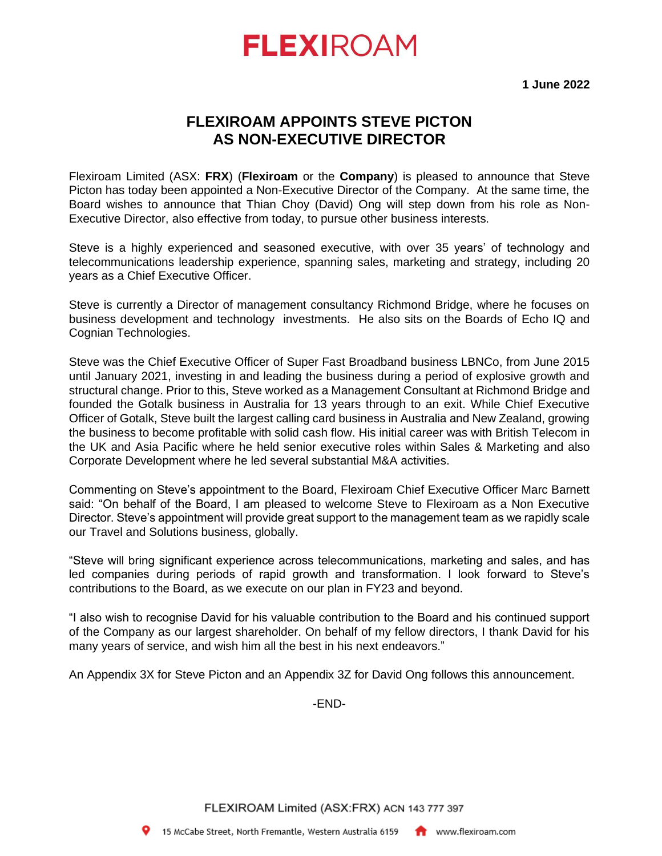# **FLEXIROAM**

**1 June 2022**

## **FLEXIROAM APPOINTS STEVE PICTON AS NON-EXECUTIVE DIRECTOR**

Flexiroam Limited (ASX: **FRX**) (**Flexiroam** or the **Company**) is pleased to announce that Steve Picton has today been appointed a Non-Executive Director of the Company. At the same time, the Board wishes to announce that Thian Choy (David) Ong will step down from his role as Non-Executive Director, also effective from today, to pursue other business interests.

Steve is a highly experienced and seasoned executive, with over 35 years' of technology and telecommunications leadership experience, spanning sales, marketing and strategy, including 20 years as a Chief Executive Officer.

Steve is currently a Director of management consultancy Richmond Bridge, where he focuses on business development and technology investments. He also sits on the Boards of Echo IQ and Cognian Technologies.

Steve was the Chief Executive Officer of Super Fast Broadband business LBNCo, from June 2015 until January 2021, investing in and leading the business during a period of explosive growth and structural change. Prior to this, Steve worked as a Management Consultant at Richmond Bridge and founded the Gotalk business in Australia for 13 years through to an exit. While Chief Executive Officer of Gotalk, Steve built the largest calling card business in Australia and New Zealand, growing the business to become profitable with solid cash flow. His initial career was with British Telecom in the UK and Asia Pacific where he held senior executive roles within Sales & Marketing and also Corporate Development where he led several substantial M&A activities.

Commenting on Steve's appointment to the Board, Flexiroam Chief Executive Officer Marc Barnett said: "On behalf of the Board, I am pleased to welcome Steve to Flexiroam as a Non Executive Director. Steve's appointment will provide great support to the management team as we rapidly scale our Travel and Solutions business, globally.

"Steve will bring significant experience across telecommunications, marketing and sales, and has led companies during periods of rapid growth and transformation. I look forward to Steve's contributions to the Board, as we execute on our plan in FY23 and beyond.

"I also wish to recognise David for his valuable contribution to the Board and his continued support of the Company as our largest shareholder. On behalf of my fellow directors, I thank David for his many years of service, and wish him all the best in his next endeavors."

An Appendix 3X for Steve Picton and an Appendix 3Z for David Ong follows this announcement.

-END-

FLEXIROAM Limited (ASX:FRX) ACN 143 777 397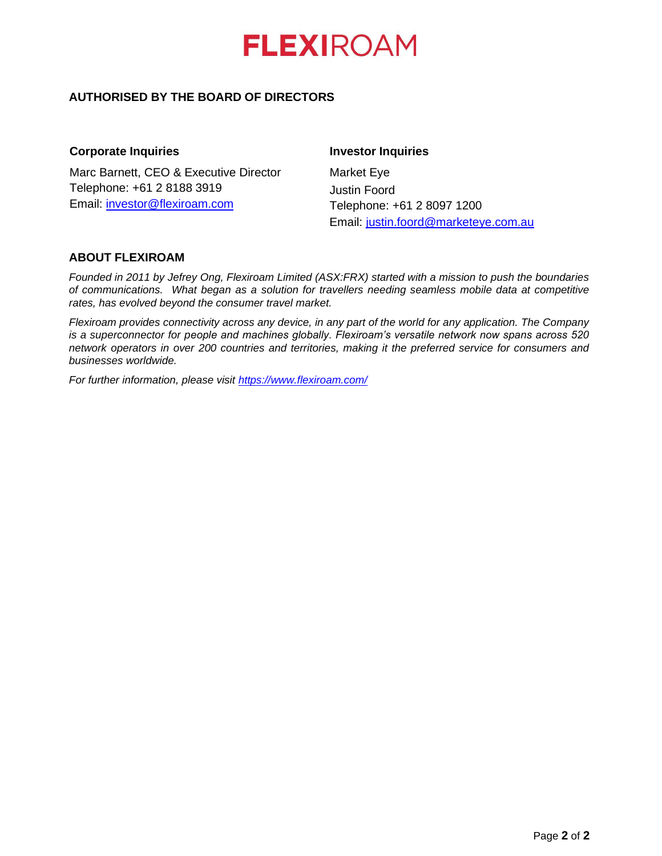

## **AUTHORISED BY THE BOARD OF DIRECTORS**

### **Corporate Inquiries**

Marc Barnett, CEO & Executive Director Telephone: +61 2 8188 3919 Email: [investor@flexiroam.com](mailto:investor@flexiroam.com)

## **Investor Inquiries**

Market Eye Justin Foord Telephone: +61 2 8097 1200 Email: [justin.foord@marketeye.com.au](mailto:justin.foord@marketeye.com.au)

## **ABOUT FLEXIROAM**

*Founded in 2011 by Jefrey Ong, Flexiroam Limited (ASX:FRX) started with a mission to push the boundaries of communications. What began as a solution for travellers needing seamless mobile data at competitive rates, has evolved beyond the consumer travel market.*

*Flexiroam provides connectivity across any device, in any part of the world for any application. The Company is a superconnector for people and machines globally. Flexiroam's versatile network now spans across 520 network operators in over 200 countries and territories, making it the preferred service for consumers and businesses worldwide.*

*For further information, please visit<https://www.flexiroam.com/>*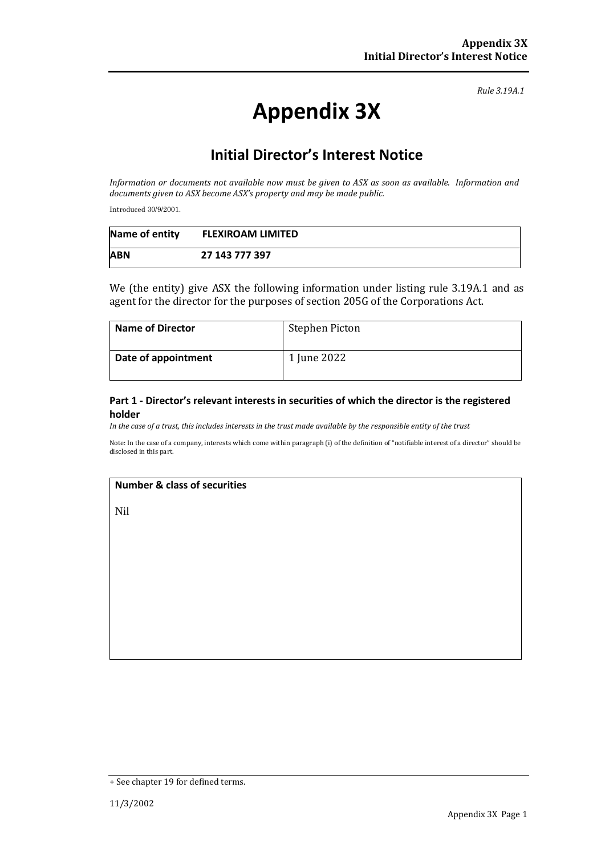*Rule 3.19A.1*

# **Appendix 3X**

## **Initial Director's Interest Notice**

*Information or documents not available now must be given to ASX as soon as available. Information and documents given to ASX become ASX's property and may be made public.*

Introduced 30/9/2001.

| Name of entity | <b>FLEXIROAM LIMITED</b> |
|----------------|--------------------------|
| <b>ABN</b>     | 27 143 777 397           |

We (the entity) give ASX the following information under listing rule 3.19A.1 and as agent for the director for the purposes of section 205G of the Corporations Act.

| <b>Name of Director</b> | Stephen Picton |
|-------------------------|----------------|
| Date of appointment     | 1 June 2022    |

#### **Part 1 - Director's relevant interests in securities of which the director is the registered holder**

*In the case of a trust, this includes interests in the trust made available by the responsible entity of the trust*

Note: In the case of a company, interests which come within paragraph (i) of the definition of "notifiable interest of a director" should be disclosed in this part.

### **Number & class of securities**

Nil

<sup>+</sup> See chapter 19 for defined terms.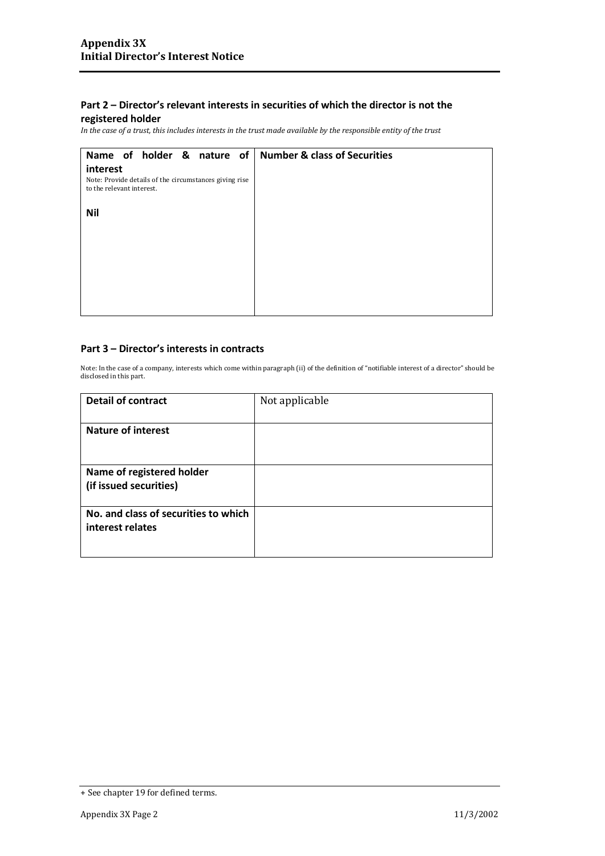## **Part 2 – Director's relevant interests in securities of which the director is not the**

## **registered holder**

*In the case of a trust, this includes interests in the trust made available by the responsible entity of the trust*

| Name of holder & nature of Number & class of Securities                             |  |
|-------------------------------------------------------------------------------------|--|
| interest                                                                            |  |
| Note: Provide details of the circumstances giving rise<br>to the relevant interest. |  |
| <b>Nil</b>                                                                          |  |
|                                                                                     |  |
|                                                                                     |  |
|                                                                                     |  |
|                                                                                     |  |
|                                                                                     |  |
|                                                                                     |  |

#### **Part 3 – Director's interests in contracts**

Note: In the case of a company, interests which come within paragraph (ii) of the definition of "notifiable interest of a director" should be disclosed in this part.

| <b>Detail of contract</b>            | Not applicable |
|--------------------------------------|----------------|
|                                      |                |
| <b>Nature of interest</b>            |                |
|                                      |                |
|                                      |                |
| Name of registered holder            |                |
| (if issued securities)               |                |
|                                      |                |
| No. and class of securities to which |                |
| interest relates                     |                |
|                                      |                |
|                                      |                |

<sup>+</sup> See chapter 19 for defined terms.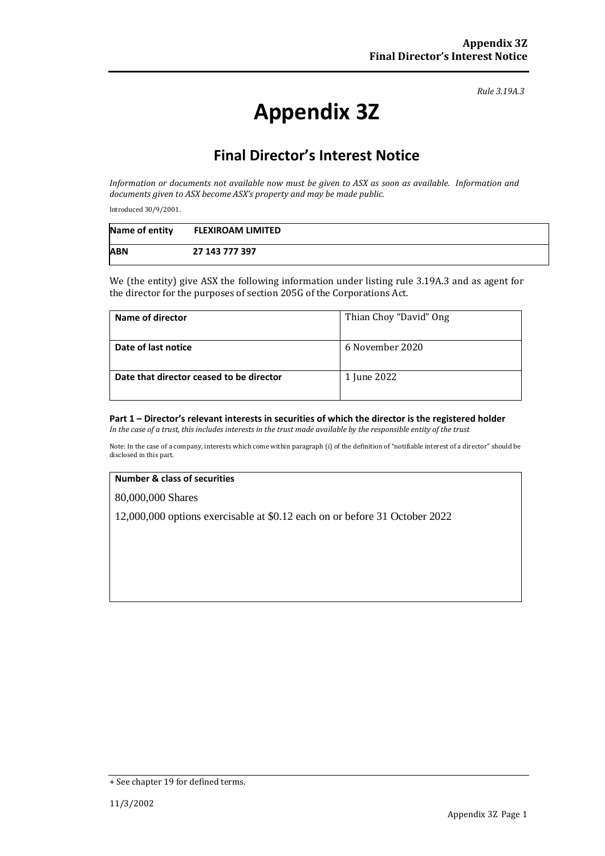*Rule 3.19A.3*

# **Appendix 3Z**

## **Final Director's Interest Notice**

*Information or documents not available now must be given to ASX as soon as available. Information and documents given to ASX become ASX's property and may be made public.*

Introduced 30/9/2001.

| Name of entity | <b>FLEXIROAM LIMITED</b> |
|----------------|--------------------------|
| <b>ABN</b>     | 27 143 777 397           |

We (the entity) give ASX the following information under listing rule 3.19A.3 and as agent for the director for the purposes of section 205G of the Corporations Act.

| Name of director                         | Thian Choy "David" Ong |
|------------------------------------------|------------------------|
| Date of last notice                      | 6 November 2020        |
| Date that director ceased to be director | 1 June 2022            |

## **Part 1 – Director's relevant interests in securities of which the director is the registered holder**

*In the case of a trust, this includes interests in the trust made available by the responsible entity of the trust*

Note: In the case of a company, interests which come within paragraph (i) of the definition of "notifiable interest of a director" should be disclosed in this part.

#### **Number & class of securities**

80,000,000 Shares

12,000,000 options exercisable at \$0.12 each on or before 31 October 2022

<sup>+</sup> See chapter 19 for defined terms.